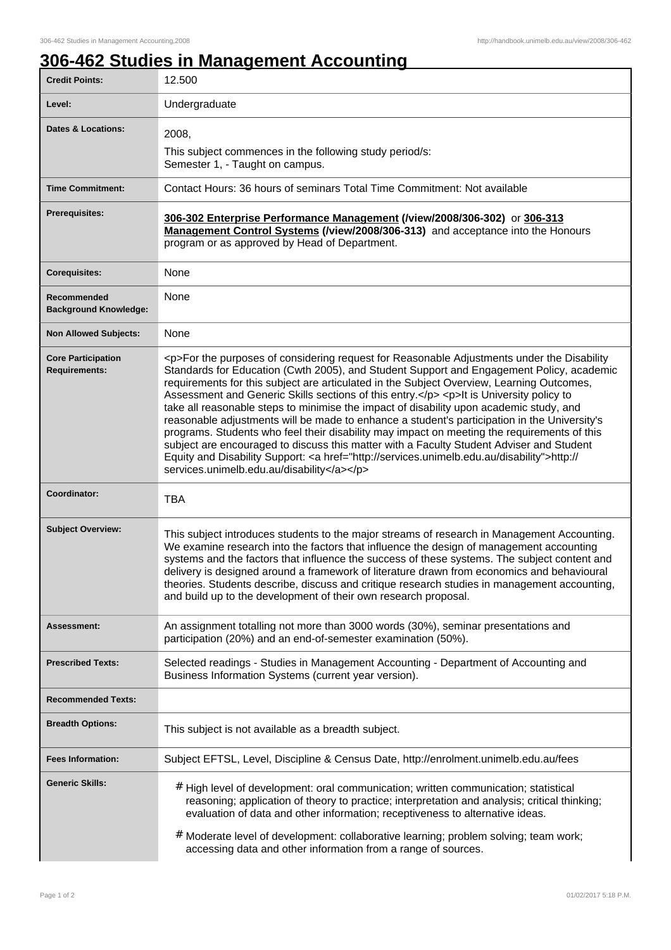## **306-462 Studies in Management Accounting**

| <b>Credit Points:</b>                             | 12.500                                                                                                                                                                                                                                                                                                                                                                                                                                                                                                                                                                                                                                                                                                                                                                                                                                                                                                                       |
|---------------------------------------------------|------------------------------------------------------------------------------------------------------------------------------------------------------------------------------------------------------------------------------------------------------------------------------------------------------------------------------------------------------------------------------------------------------------------------------------------------------------------------------------------------------------------------------------------------------------------------------------------------------------------------------------------------------------------------------------------------------------------------------------------------------------------------------------------------------------------------------------------------------------------------------------------------------------------------------|
| Level:                                            | Undergraduate                                                                                                                                                                                                                                                                                                                                                                                                                                                                                                                                                                                                                                                                                                                                                                                                                                                                                                                |
| <b>Dates &amp; Locations:</b>                     | 2008,                                                                                                                                                                                                                                                                                                                                                                                                                                                                                                                                                                                                                                                                                                                                                                                                                                                                                                                        |
|                                                   | This subject commences in the following study period/s:<br>Semester 1, - Taught on campus.                                                                                                                                                                                                                                                                                                                                                                                                                                                                                                                                                                                                                                                                                                                                                                                                                                   |
| <b>Time Commitment:</b>                           | Contact Hours: 36 hours of seminars Total Time Commitment: Not available                                                                                                                                                                                                                                                                                                                                                                                                                                                                                                                                                                                                                                                                                                                                                                                                                                                     |
| <b>Prerequisites:</b>                             | 306-302 Enterprise Performance Management (/view/2008/306-302) or 306-313<br>Management Control Systems (/view/2008/306-313) and acceptance into the Honours<br>program or as approved by Head of Department.                                                                                                                                                                                                                                                                                                                                                                                                                                                                                                                                                                                                                                                                                                                |
| <b>Corequisites:</b>                              | None                                                                                                                                                                                                                                                                                                                                                                                                                                                                                                                                                                                                                                                                                                                                                                                                                                                                                                                         |
| Recommended<br><b>Background Knowledge:</b>       | None                                                                                                                                                                                                                                                                                                                                                                                                                                                                                                                                                                                                                                                                                                                                                                                                                                                                                                                         |
| <b>Non Allowed Subjects:</b>                      | None                                                                                                                                                                                                                                                                                                                                                                                                                                                                                                                                                                                                                                                                                                                                                                                                                                                                                                                         |
| <b>Core Participation</b><br><b>Requirements:</b> | <p>For the purposes of considering request for Reasonable Adjustments under the Disability<br/>Standards for Education (Cwth 2005), and Student Support and Engagement Policy, academic<br/>requirements for this subject are articulated in the Subject Overview, Learning Outcomes,<br/>Assessment and Generic Skills sections of this entry.</p> <p>lt is University policy to<br/>take all reasonable steps to minimise the impact of disability upon academic study, and<br/>reasonable adjustments will be made to enhance a student's participation in the University's<br/>programs. Students who feel their disability may impact on meeting the requirements of this<br/>subject are encouraged to discuss this matter with a Faculty Student Adviser and Student<br/>Equity and Disability Support: &lt; a href="http://services.unimelb.edu.au/disability"&gt;http://<br/>services.unimelb.edu.au/disability</p> |
| Coordinator:                                      | <b>TBA</b>                                                                                                                                                                                                                                                                                                                                                                                                                                                                                                                                                                                                                                                                                                                                                                                                                                                                                                                   |
| <b>Subject Overview:</b>                          | This subject introduces students to the major streams of research in Management Accounting.<br>We examine research into the factors that influence the design of management accounting<br>systems and the factors that influence the success of these systems. The subject content and<br>delivery is designed around a framework of literature drawn from economics and behavioural<br>theories. Students describe, discuss and critique research studies in management accounting,<br>and build up to the development of their own research proposal.                                                                                                                                                                                                                                                                                                                                                                      |
| <b>Assessment:</b>                                | An assignment totalling not more than 3000 words (30%), seminar presentations and<br>participation (20%) and an end-of-semester examination (50%).                                                                                                                                                                                                                                                                                                                                                                                                                                                                                                                                                                                                                                                                                                                                                                           |
| <b>Prescribed Texts:</b>                          | Selected readings - Studies in Management Accounting - Department of Accounting and<br>Business Information Systems (current year version).                                                                                                                                                                                                                                                                                                                                                                                                                                                                                                                                                                                                                                                                                                                                                                                  |
| <b>Recommended Texts:</b>                         |                                                                                                                                                                                                                                                                                                                                                                                                                                                                                                                                                                                                                                                                                                                                                                                                                                                                                                                              |
| <b>Breadth Options:</b>                           | This subject is not available as a breadth subject.                                                                                                                                                                                                                                                                                                                                                                                                                                                                                                                                                                                                                                                                                                                                                                                                                                                                          |
| <b>Fees Information:</b>                          | Subject EFTSL, Level, Discipline & Census Date, http://enrolment.unimelb.edu.au/fees                                                                                                                                                                                                                                                                                                                                                                                                                                                                                                                                                                                                                                                                                                                                                                                                                                         |
| <b>Generic Skills:</b>                            | # High level of development: oral communication; written communication; statistical<br>reasoning; application of theory to practice; interpretation and analysis; critical thinking;<br>evaluation of data and other information; receptiveness to alternative ideas.<br>#<br>Moderate level of development: collaborative learning; problem solving; team work;<br>accessing data and other information from a range of sources.                                                                                                                                                                                                                                                                                                                                                                                                                                                                                            |